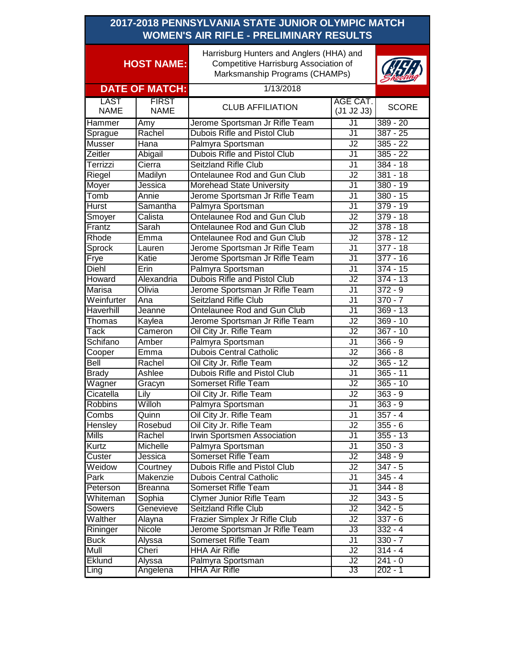| 2017-2018 PENNSYLVANIA STATE JUNIOR OLYMPIC MATCH<br><b>WOMEN'S AIR RIFLE - PRELIMINARY RESULTS</b> |                             |                                                                                                                     |                          |                          |
|-----------------------------------------------------------------------------------------------------|-----------------------------|---------------------------------------------------------------------------------------------------------------------|--------------------------|--------------------------|
| <b>HOST NAME:</b>                                                                                   |                             | Harrisburg Hunters and Anglers (HHA) and<br>Competitive Harrisburg Association of<br>Marksmanship Programs (CHAMPs) |                          |                          |
|                                                                                                     | <b>DATE OF MATCH:</b>       | 1/13/2018                                                                                                           |                          |                          |
| <b>LAST</b><br><b>NAME</b>                                                                          | <b>FIRST</b><br><b>NAME</b> | <b>CLUB AFFILIATION</b>                                                                                             | AGE CAT.<br>(J1 J2 J3)   | <b>SCORE</b>             |
| Hammer                                                                                              | Amy                         | Jerome Sportsman Jr Rifle Team                                                                                      | J1                       | $389 - 20$               |
| Sprague                                                                                             | Rachel                      | Dubois Rifle and Pistol Club                                                                                        | $\overline{\mathsf{J1}}$ | $387 - 25$               |
| Musser                                                                                              | Hana                        | Palmyra Sportsman                                                                                                   | J2                       | $385 - 22$               |
| Zeitler                                                                                             | Abigail                     | Dubois Rifle and Pistol Club                                                                                        | J <sub>1</sub>           | $385 - 22$               |
| Terrizzi                                                                                            | Cierra                      | Seitzland Rifle Club                                                                                                | J1                       | 384 - 18                 |
| Riegel                                                                                              | Madilyn                     | Ontelaunee Rod and Gun Club                                                                                         | J2                       | $381 - 18$               |
| Moyer                                                                                               | Jessica                     | Morehead State University                                                                                           | J1                       | 380 - 19                 |
| Tomb                                                                                                | Annie                       | Jerome Sportsman Jr Rifle Team                                                                                      | J <sub>1</sub>           | $380 - 15$               |
| <b>Hurst</b>                                                                                        | Samantha                    | Palmyra Sportsman                                                                                                   | $\overline{J1}$          | $379 - 19$               |
| Smoyer                                                                                              | Calista                     | Ontelaunee Rod and Gun Club                                                                                         | J2                       | $379 - 18$               |
| Frantz                                                                                              | Sarah                       | Ontelaunee Rod and Gun Club                                                                                         | $\overline{J2}$          | $378 - 18$               |
| Rhode                                                                                               | Emma                        | Ontelaunee Rod and Gun Club                                                                                         | $\overline{J2}$          | $378 - 12$               |
| <b>Sprock</b>                                                                                       | Lauren                      | Jerome Sportsman Jr Rifle Team                                                                                      | $\overline{J1}$          | $377 - 18$               |
| Frye                                                                                                | Katie                       | Jerome Sportsman Jr Rifle Team                                                                                      | $\overline{J1}$          | $377 - 16$               |
| <b>Diehl</b>                                                                                        | Erin                        | Palmyra Sportsman                                                                                                   | $\overline{J1}$          | $374 - 15$               |
| Howard                                                                                              | Alexandria                  | <b>Dubois Rifle and Pistol Club</b>                                                                                 | $\overline{J2}$          | $374 - 13$               |
| Marisa                                                                                              | Olivia                      | Jerome Sportsman Jr Rifle Team                                                                                      | $\overline{J1}$          | $372 - 9$                |
| Weinfurter                                                                                          | Ana                         | <b>Seitzland Rifle Club</b>                                                                                         | $\overline{J1}$          | $370 - 7$                |
| <b>Haverhill</b>                                                                                    | Jeanne                      | Ontelaunee Rod and Gun Club                                                                                         | $\overline{J1}$          | $369 - 13$               |
| Thomas                                                                                              | Kaylea                      | Jerome Sportsman Jr Rifle Team                                                                                      | $\overline{J2}$          | $369 - 10$               |
| <b>Tack</b>                                                                                         | Cameron                     | Oil City Jr. Rifle Team                                                                                             | $\overline{J2}$          | $367 - 10$               |
| Schifano                                                                                            | Amber                       | Palmyra Sportsman                                                                                                   | $\overline{J1}$          | $366 - 9$                |
| Cooper                                                                                              | Emma                        | <b>Dubois Central Catholic</b>                                                                                      | $\overline{J2}$          | $366 - 8$                |
| Bell                                                                                                | Rachel                      | Oil City Jr. Rifle Team                                                                                             | J2                       | $365 - 12$               |
| <b>Brady</b>                                                                                        | Ashlee                      | <b>Dubois Rifle and Pistol Club</b><br>Somerset Rifle Team                                                          | J <sub>1</sub>           | $365 - 11$<br>$365 - 10$ |
| Wagner                                                                                              | Gracyn                      |                                                                                                                     | J2<br>$\overline{J2}$    |                          |
| Cicatella                                                                                           | Lily<br>Willoh              | Oil City Jr. Rifle Team<br>Palmyra Sportsman                                                                        | J <sub>1</sub>           | $363 - 9$<br>$363 - 9$   |
| <b>Robbins</b><br>Combs                                                                             | Quinn                       | Oil City Jr. Rifle Team                                                                                             | J1                       | $357 - 4$                |
| Hensley                                                                                             | Rosebud                     | Oil City Jr. Rifle Team                                                                                             | J2                       | $355 - 6$                |
| Mills                                                                                               | Rachel                      | Irwin Sportsmen Association                                                                                         | J1                       | $355 - 13$               |
| Kurtz                                                                                               | Michelle                    | Palmyra Sportsman                                                                                                   | J1                       | $350 - 3$                |
| Custer                                                                                              | Jessica                     | Somerset Rifle Team                                                                                                 | $\overline{J2}$          | $348 - 9$                |
| Weidow                                                                                              | Courtney                    | Dubois Rifle and Pistol Club                                                                                        | J2                       | $347 - 5$                |
| Park                                                                                                | Makenzie                    | <b>Dubois Central Catholic</b>                                                                                      | J1                       | $345 - 4$                |
| Peterson                                                                                            | <b>Breanna</b>              | Somerset Rifle Team                                                                                                 | J1                       | $344 - 8$                |
| Whiteman                                                                                            | Sophia                      | <b>Clymer Junior Rifle Team</b>                                                                                     | J2                       | $343 - 5$                |
| Sowers                                                                                              | Genevieve                   | Seitzland Rifle Club                                                                                                | J2                       | $\overline{3}42 - 5$     |
| Walther                                                                                             | Alayna                      | Frazier Simplex Jr Rifle Club                                                                                       | J2                       | $337 - 6$                |
| Rininger                                                                                            | Nicole                      | Jerome Sportsman Jr Rifle Team                                                                                      | J3                       | $332 - 4$                |
| <b>Buck</b>                                                                                         | Alyssa                      | Somerset Rifle Team                                                                                                 | J1                       | $330 - 7$                |
| Mull                                                                                                | Cheri                       | <b>HHA Air Rifle</b>                                                                                                | J2                       | $314 - 4$                |
| Eklund                                                                                              | Alyssa                      | Palmyra Sportsman                                                                                                   | J2                       | $241 - 0$                |
| Ling                                                                                                | Angelena                    | <b>HHA Air Rifle</b>                                                                                                | J3                       | 202 - 1                  |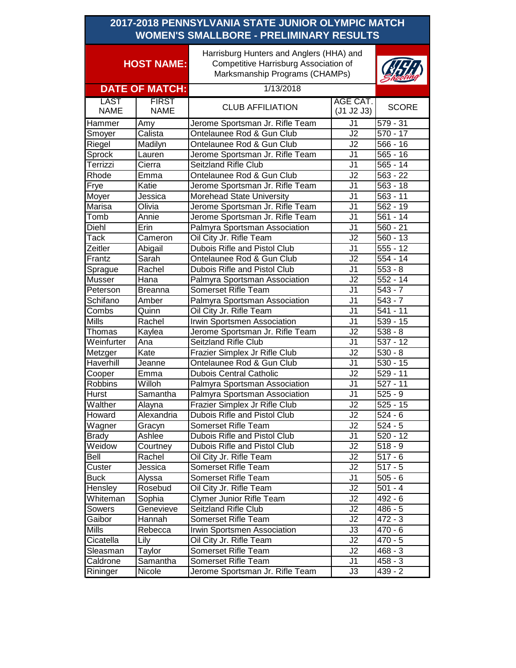| 2017-2018 PENNSYLVANIA STATE JUNIOR OLYMPIC MATCH<br><b>WOMEN'S SMALLBORE - PRELIMINARY RESULTS</b> |                             |                                                                                                                     |                          |                       |
|-----------------------------------------------------------------------------------------------------|-----------------------------|---------------------------------------------------------------------------------------------------------------------|--------------------------|-----------------------|
| <b>HOST NAME:</b>                                                                                   |                             | Harrisburg Hunters and Anglers (HHA) and<br>Competitive Harrisburg Association of<br>Marksmanship Programs (CHAMPs) |                          |                       |
|                                                                                                     | <b>DATE OF MATCH:</b>       | 1/13/2018                                                                                                           |                          |                       |
| <b>LAST</b><br><b>NAME</b>                                                                          | <b>FIRST</b><br><b>NAME</b> | <b>CLUB AFFILIATION</b>                                                                                             | AGE CAT.<br>(J1 J2 J3)   | <b>SCORE</b>          |
| Hammer                                                                                              | Amy                         | Jerome Sportsman Jr. Rifle Team                                                                                     | $\overline{\mathsf{J}1}$ | $\frac{1}{579} - 31$  |
| Smoyer                                                                                              | Calista                     | Ontelaunee Rod & Gun Club                                                                                           | J2                       | $570 - 17$            |
| Riegel                                                                                              | Madilyn                     | Ontelaunee Rod & Gun Club                                                                                           | J2                       | $566 - 16$            |
| Sprock                                                                                              | Lauren                      | Jerome Sportsman Jr. Rifle Team                                                                                     | J <sub>1</sub>           | $565 - 16$            |
| Terrizzi                                                                                            | Cierra                      | Seitzland Rifle Club                                                                                                | J <sub>1</sub>           | $565 - 14$            |
| Rhode                                                                                               | Emma                        | Ontelaunee Rod & Gun Club                                                                                           | J2                       | $563 - 22$            |
| Frye                                                                                                | Katie                       | Jerome Sportsman Jr. Rifle Team                                                                                     | J1                       | $563 - 18$            |
| Moyer                                                                                               | Jessica                     | Morehead State University                                                                                           | J1                       | $563 - 11$            |
| Marisa                                                                                              | Olivia                      | Jerome Sportsman Jr. Rifle Team                                                                                     | J <sub>1</sub>           | $562 - 19$            |
| Tomb                                                                                                | Annie                       | Jerome Sportsman Jr. Rifle Team                                                                                     | J <sub>1</sub>           | $561 - 14$            |
| Diehl                                                                                               | Erin                        | Palmyra Sportsman Association                                                                                       | J <sub>1</sub>           | $560 - 21$            |
| Tack                                                                                                | Cameron                     | Oil City Jr. Rifle Team                                                                                             | J2                       | $560 - 13$            |
| Zeitler                                                                                             | Abigail                     | Dubois Rifle and Pistol Club                                                                                        | J <sub>1</sub>           | $555 - 12$            |
| Frantz                                                                                              | Sarah                       | Ontelaunee Rod & Gun Club                                                                                           | J2                       | $554 - 14$            |
| Sprague                                                                                             | Rachel                      | Dubois Rifle and Pistol Club                                                                                        | J <sub>1</sub>           | $553 - 8$             |
| Musser                                                                                              | Hana                        | Palmyra Sportsman Association                                                                                       | J <sub>2</sub>           | $552 - 14$            |
| Peterson                                                                                            | <b>Breanna</b>              | <b>Somerset Rifle Team</b>                                                                                          | $\overline{J1}$          | $543 - 7$             |
| Schifano                                                                                            | Amber                       | Palmyra Sportsman Association                                                                                       | J <sub>1</sub>           | $\overline{543} - 7$  |
| Combs                                                                                               | Quinn                       | Oil City Jr. Rifle Team                                                                                             | J <sub>1</sub>           | $541 - 11$            |
| Mills                                                                                               | Rachel                      | Irwin Sportsmen Association                                                                                         | J1                       | $539 - 15$            |
| Thomas                                                                                              | Kaylea                      | Jerome Sportsman Jr. Rifle Team                                                                                     | J2                       | $\overline{538} - 8$  |
| $\overline{\mathsf{W}}$ einfurter                                                                   | Ana                         | Seitzland Rifle Club                                                                                                | J1                       | $\overline{537} - 12$ |
| Metzger                                                                                             | Kate                        | Frazier Simplex Jr Rifle Club                                                                                       | J2                       | $530 - 8$             |
| <b>Haverhill</b>                                                                                    | Jeanne                      | Ontelaunee Rod & Gun Club                                                                                           | J1                       | $530 - 15$            |
| Cooper                                                                                              | Emma                        | <b>Dubois Central Catholic</b>                                                                                      | J <sub>2</sub>           | $\overline{529} - 11$ |
| Robbins                                                                                             | Willoh                      | Palmyra Sportsman Association                                                                                       | J <sub>1</sub>           | $\overline{527 - 11}$ |
| Hurst                                                                                               | Samantha                    | Palmyra Sportsman Association                                                                                       | J1                       | $525 - 9$             |
| Walther                                                                                             | Alayna                      | Frazier Simplex Jr Rifle Club                                                                                       | J2                       | $525 - 15$            |
| Howard                                                                                              | Alexandria                  | Dubois Rifle and Pistol Club                                                                                        | J2                       | $524 - 6$             |
| Wagner                                                                                              | Gracyn                      | Somerset Rifle Team                                                                                                 | J2                       | $524 - 5$             |
| <b>Brady</b>                                                                                        | Ashlee                      | Dubois Rifle and Pistol Club                                                                                        | J1                       | $520 - 12$            |
| Weidow                                                                                              | Courtney                    | Dubois Rifle and Pistol Club                                                                                        | J2                       | $518 - 9$             |
| Bell                                                                                                | Rachel                      | Oil City Jr. Rifle Team                                                                                             | J2                       | $517 - 6$             |
| Custer                                                                                              | Jessica                     | Somerset Rifle Team                                                                                                 | J2                       | $517 - 5$             |
| <b>Buck</b>                                                                                         | Alyssa                      | Somerset Rifle Team                                                                                                 | J1                       | $505 - 6$             |
| Hensley                                                                                             | Rosebud                     | Oil City Jr. Rifle Team                                                                                             | J2                       | $501 - 4$             |
| Whiteman                                                                                            | Sophia                      | Clymer Junior Rifle Team                                                                                            | J2                       | 492 - 6               |
| Sowers                                                                                              | Genevieve                   | Seitzland Rifle Club                                                                                                | J2                       | $486 - 5$             |
| Gaibor                                                                                              | Hannah                      | Somerset Rifle Team                                                                                                 | J2                       | $\overline{472} - 3$  |
| Mills                                                                                               | Rebecca                     | Irwin Sportsmen Association                                                                                         | JЗ                       | 470 - 6               |
| Cicatella                                                                                           | Lily                        | Oil City Jr. Rifle Team                                                                                             | J2                       | $470 - 5$             |
| Sleasman                                                                                            | Taylor                      | Somerset Rifle Team                                                                                                 | J2                       | $468 - 3$             |
| Caldrone                                                                                            | Samantha                    | Somerset Rifle Team                                                                                                 | J1                       | $458 - 3$             |
| Rininger                                                                                            | Nicole                      | Jerome Sportsman Jr. Rifle Team                                                                                     | J3                       | $439 - 2$             |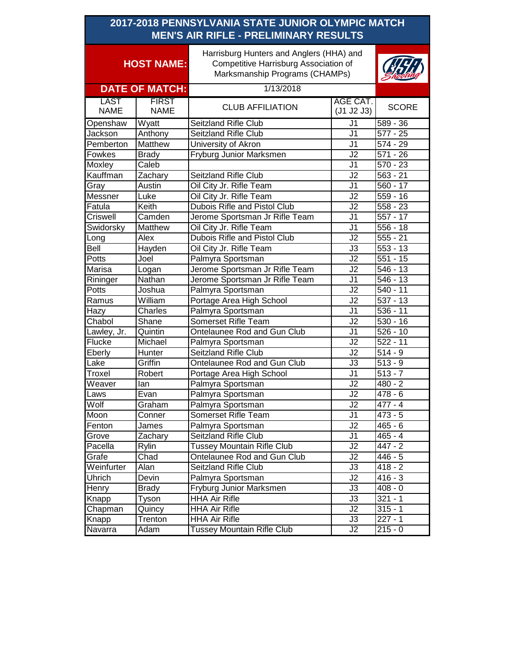| 2017-2018 PENNSYLVANIA STATE JUNIOR OLYMPIC MATCH<br><b>MEN'S AIR RIFLE - PRELIMINARY RESULTS</b> |                             |                                                                                                                     |                        |                       |
|---------------------------------------------------------------------------------------------------|-----------------------------|---------------------------------------------------------------------------------------------------------------------|------------------------|-----------------------|
| <b>HOST NAME:</b>                                                                                 |                             | Harrisburg Hunters and Anglers (HHA) and<br>Competitive Harrisburg Association of<br>Marksmanship Programs (CHAMPs) |                        |                       |
|                                                                                                   | <b>DATE OF MATCH:</b>       | 1/13/2018                                                                                                           |                        |                       |
| <b>LAST</b><br><b>NAME</b>                                                                        | <b>FIRST</b><br><b>NAME</b> | <b>CLUB AFFILIATION</b>                                                                                             | AGE CAT.<br>(J1 J2 J3) | <b>SCORE</b>          |
| Openshaw                                                                                          | Wyatt                       | Seitzland Rifle Club                                                                                                | $\overline{J1}$        | $589 - 36$            |
| Jackson                                                                                           | Anthony                     | Seitzland Rifle Club                                                                                                | J <sub>1</sub>         | $577 - 25$            |
| Pemberton                                                                                         | Matthew                     | University of Akron                                                                                                 | J <sub>1</sub>         | $574 - 29$            |
| Fowkes                                                                                            | <b>Brady</b>                | Fryburg Junior Marksmen                                                                                             | J2                     | $571 - 26$            |
| Moxley                                                                                            | Caleb                       |                                                                                                                     | J <sub>1</sub>         | $570 - 23$            |
| Kauffman                                                                                          | Zachary                     | Seitzland Rifle Club                                                                                                | J2                     | $563 - 21$            |
| Gray                                                                                              | Austin                      | Oil City Jr. Rifle Team                                                                                             | J <sub>1</sub>         | $560 - 17$            |
| Messner                                                                                           | Luke                        | Oil City Jr. Rifle Team                                                                                             | J2                     | $559 - 16$            |
| Fatula                                                                                            | Keith                       | <b>Dubois Rifle and Pistol Club</b>                                                                                 | J <sub>2</sub>         | $\overline{558} - 23$ |
| Criswell                                                                                          | Camden                      | Jerome Sportsman Jr Rifle Team                                                                                      | $\overline{J1}$        | $557 - 17$            |
| Swidorsky                                                                                         | Matthew                     | Oil City Jr. Rifle Team                                                                                             | J <sub>1</sub>         | $556 - 18$            |
| Long                                                                                              | Alex                        | <b>Dubois Rifle and Pistol Club</b>                                                                                 | J2                     | $555 - 21$            |
| Bell                                                                                              | Hayden                      | Oil City Jr. Rifle Team                                                                                             | J3                     | $553 - 13$            |
| Potts                                                                                             | Joel                        | Palmyra Sportsman                                                                                                   | $\overline{J2}$        | $551 - 15$            |
| Marisa                                                                                            | Logan                       | Jerome Sportsman Jr Rifle Team                                                                                      | J2                     | $546 - 13$            |
| Rininger                                                                                          | Nathan                      | Jerome Sportsman Jr Rifle Team                                                                                      | J <sub>1</sub>         | $546 - 13$            |
| Potts                                                                                             | Joshua                      | Palmyra Sportsman                                                                                                   | J2                     | $540 - 11$            |
| Ramus                                                                                             | William                     | Portage Area High School                                                                                            | $\overline{J2}$        | $537 - 13$            |
| Hazy                                                                                              | Charles                     | Palmyra Sportsman                                                                                                   | $\overline{J1}$        | $536 - 11$            |
| Chabol                                                                                            | Shane                       | Somerset Rifle Team                                                                                                 | $\overline{J2}$        | $530 - 16$            |
| Lawley, Jr.                                                                                       | Quintin                     | Ontelaunee Rod and Gun Club                                                                                         | J1                     | $\overline{526}$ - 10 |
| Flucke                                                                                            | Michael                     | Palmyra Sportsman                                                                                                   | J2                     | $522 - 11$            |
| Eberly                                                                                            | Hunter                      | <b>Seitzland Rifle Club</b>                                                                                         | J2                     | $514 - 9$             |
| Lake                                                                                              | Griffin                     | Ontelaunee Rod and Gun Club                                                                                         | J3                     | $\overline{513} - 9$  |
| Troxel                                                                                            | Robert                      | Portage Area High School                                                                                            | J1                     | $\overline{5}$ 13 - 7 |
| Weaver                                                                                            | lan                         | Palmyra Sportsman                                                                                                   | J2                     | $480 - 2$             |
| Laws                                                                                              | Evan                        | Palmyra Sportsman                                                                                                   | J2                     | $478 - 6$             |
| Wolf                                                                                              | Graham                      | Palmyra Sportsman                                                                                                   | J2                     | $477 - 4$             |
| Moon                                                                                              | Conner                      | Somerset Rifle Team                                                                                                 | J1                     | $473 - 5$             |
| Fenton                                                                                            | James                       | Palmyra Sportsman                                                                                                   | J2                     | $465 - 6$             |
| Grove                                                                                             | Zachary                     | Seitzland Rifle Club                                                                                                | J1                     | $465 - 4$             |
| Pacella                                                                                           | Rylin                       | <b>Tussey Mountain Rifle Club</b>                                                                                   | J2                     | $447 - 2$             |
| Grafe                                                                                             | Chad                        | Ontelaunee Rod and Gun Club                                                                                         | J2                     | $446 - 5$             |
| Weinfurter                                                                                        | Alan                        | Seitzland Rifle Club                                                                                                | J3                     | $418 - 2$             |
| Uhrich                                                                                            | Devin                       | Palmyra Sportsman                                                                                                   | J2                     | $416 - 3$             |
| Henry                                                                                             | <b>Brady</b>                | Fryburg Junior Marksmen                                                                                             | J3                     | $408 - 0$             |
| Knapp                                                                                             | Tyson                       | <b>HHA Air Rifle</b>                                                                                                | J3                     | $321 - 1$             |
| Chapman                                                                                           | Quincy                      | <b>HHA Air Rifle</b>                                                                                                | J2                     | $315 - 1$             |
| Knapp                                                                                             | Trenton                     | HHA Air Rifle                                                                                                       | J3                     | $227 - 1$             |
| Navarra                                                                                           | Adam                        | <b>Tussey Mountain Rifle Club</b>                                                                                   | J2                     | $215 - 0$             |